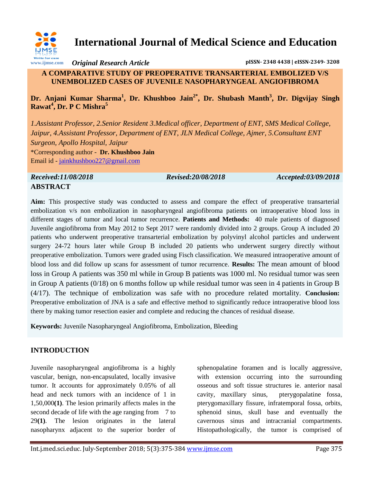

# **International Journal of Medical Science and Education**

*Original Research Article* **pISSN- 2348 4438 | eISSN-2349- 3208**

### **A COMPARATIVE STUDY OF PREOPERATIVE TRANSARTERIAL EMBOLIZED V/S UNEMBOLIZED CASES OF JUVENILE NASOPHARYNGEAL ANGIOFIBROMA**

**Dr. Anjani Kumar Sharma<sup>1</sup> , Dr. Khushboo Jain2\* , Dr. Shubash Manth<sup>3</sup> , Dr. Digvijay Singh Rawat<sup>4</sup> , Dr. P C Mishra<sup>5</sup>**

*1.Assistant Professor, 2.Senior Resident 3.Medical officer, Department of ENT, SMS Medical College, Jaipur, 4.Assistant Professor, Department of ENT, JLN Medical College, Ajmer, 5.Consultant ENT Surgeon, Apollo Hospital, Jaipur* \*Corresponding author - **Dr. Khushboo Jain** Email id - [jainkhushboo227@gmail.com](mailto:jainkhushboo227@gmail.com)

*Received:11/08/2018 Revised:20/08/2018 Accepted:03/09/2018* **ABSTRACT**

**Aim:** This prospective study was conducted to assess and compare the effect of preoperative transarterial embolization v/s non embolization in nasopharyngeal angiofibroma patients on intraoperative blood loss in different stages of tumor and local tumor recurrence. **Patients and Methods:** 40 male patients of diagnosed Juvenile angiofibroma from May 2012 to Sept 2017 were randomly divided into 2 groups. Group A included 20 patients who underwent preoperative transarterial embolization by polyvinyl alcohol particles and underwent surgery 24-72 hours later while Group B included 20 patients who underwent surgery directly without preoperative embolization. Tumors were graded using Fisch classification. We measured intraoperative amount of blood loss and did follow up scans for assessment of tumor recurrence. **Results:** The mean amount of blood loss in Group A patients was 350 ml while in Group B patients was 1000 ml. No residual tumor was seen in Group A patients (0/18) on 6 months follow up while residual tumor was seen in 4 patients in Group B (4/17). The technique of embolization was safe with no procedure related mortality. **Conclusion:** Preoperative embolization of JNA is a safe and effective method to significantly reduce intraoperative blood loss there by making tumor resection easier and complete and reducing the chances of residual disease.

**Keywords:** Juvenile Nasopharyngeal Angiofibroma, Embolization, Bleeding

### **INTRODUCTION**

Juvenile nasopharyngeal angiofibroma is a highly vascular, benign, non-encapsulated, locally invasive tumor. It accounts for approximately 0.05% of all head and neck tumors with an incidence of 1 in 1,50,000**(1)**. The lesion primarily affects males in the second decade of life with the age ranging from 7 to 29**(1)**. The lesion originates in the lateral nasopharynx adjacent to the superior border of

sphenopalatine foramen and is locally aggressive, with extension occurring into the surrounding osseous and soft tissue structures ie. anterior nasal cavity, maxillary sinus, pterygopalatine fossa, pterygomaxillary fissure, infratemporal fossa, orbits, sphenoid sinus, skull base and eventually the cavernous sinus and intracranial compartments. Histopathologically, the tumor is comprised of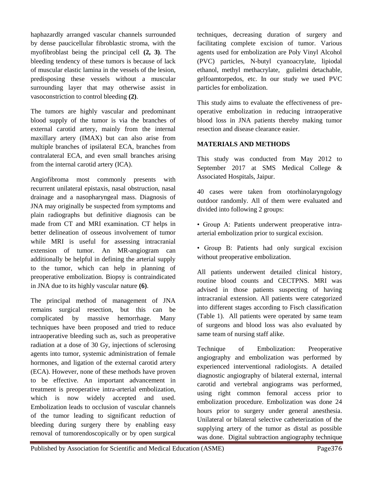haphazardly arranged vascular channels surrounded by dense paucicellular fibroblastic stroma, with the myofibroblast being the principal cell **(2, 3)**. The bleeding tendency of these tumors is because of lack of muscular elastic lamina in the vessels of the lesion, predisposing these vessels without a muscular surrounding layer that may otherwise assist in vasoconstriction to control bleeding **(2)**.

The tumors are highly vascular and predominant blood supply of the tumor is via the branches of external carotid artery, mainly from the internal maxillary artery (IMAX) but can also arise from multiple branches of ipsilateral ECA, branches from contralateral ECA, and even small branches arising from the internal carotid artery (ICA).

Angiofibroma most commonly presents with recurrent unilateral epistaxis, nasal obstruction, nasal drainage and a nasopharyngeal mass. Diagnosis of JNA may originally be suspected from symptoms and plain radiographs but definitive diagnosis can be made from CT and MRI examination. CT helps in better delineation of osseous involvement of tumor while MRI is useful for assessing intracranial extension of tumor. An MR-angiogram can additionally be helpful in defining the arterial supply to the tumor, which can help in planning of preoperative embolization. Biopsy is contraindicated in JNA due to its highly vascular nature **(6)**.

The principal method of management of JNA remains surgical resection, but this can be complicated by massive hemorrhage. Many techniques have been proposed and tried to reduce intraoperative bleeding such as, such as preoperative radiation at a dose of 30 Gy, injections of sclerosing agents into tumor, systemic administration of female hormones, and ligation of the external carotid artery (ECA). However, none of these methods have proven to be effective. An important advancement in treatment is preoperative intra-arterial embolization, which is now widely accepted and used. Embolization leads to occlusion of vascular channels of the tumor leading to significant reduction of bleeding during surgery there by enabling easy removal of tumorendoscopically or by open surgical

techniques, decreasing duration of surgery and facilitating complete excision of tumor. Various agents used for embolization are Poly Vinyl Alcohol (PVC) particles, N-butyl cyanoacrylate, lipiodal ethanol, methyl methacrylate, gulielmi detachable, gelfoamtorpedos, etc. In our study we used PVC particles for embolization.

This study aims to evaluate the effectiveness of preoperative embolization in reducing intraoperative blood loss in JNA patients thereby making tumor resection and disease clearance easier.

#### **MATERIALS AND METHODS**

This study was conducted from May 2012 to September 2017 at SMS Medical College & Associated Hospitals, Jaipur.

40 cases were taken from otorhinolaryngology outdoor randomly. All of them were evaluated and divided into following 2 groups:

• Group A: Patients underwent preoperative intraarterial embolization prior to surgical excision.

• Group B: Patients had only surgical excision without preoperative embolization.

All patients underwent detailed clinical history, routine blood counts and CECTPNS. MRI was advised in those patients suspecting of having intracranial extension. All patients were categorized into different stages according to Fisch classification (Table 1). All patients were operated by same team of surgeons and blood loss was also evaluated by same team of nursing staff alike.

Technique of Embolization: Preoperative angiography and embolization was performed by experienced interventional radiologists. A detailed diagnostic angiography of bilateral external, internal carotid and vertebral angiograms was performed, using right common femoral access prior to embolization procedure. Embolization was done 24 hours prior to surgery under general anesthesia. Unilateral or bilateral selective catheterization of the supplying artery of the tumor as distal as possible was done. Digital subtraction angiography technique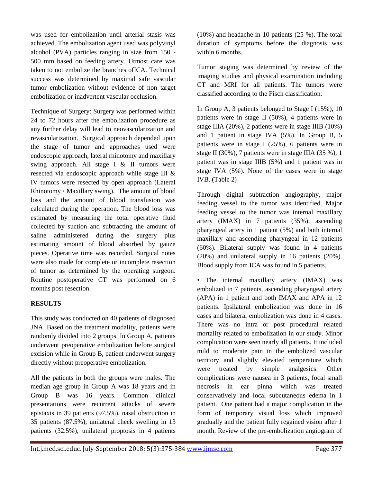was used for embolization until arterial stasis was achieved. The embolization agent used was polyvinyl alcohol (PVA) particles ranging in size from 150 - 500 mm based on feeding artery. Utmost care was taken to not embolize the branches ofICA. Technical success was determined by maximal safe vascular tumor embolization without evidence of non target embolization or inadvertent vascular occlusion.

Technique of Surgery: Surgery was performed within 24 to 72 hours after the embolization procedure as any further delay will lead to neovascularization and revascularization. Surgical approach depended upon the stage of tumor and approaches used were endoscopic approach, lateral rhinotomy and maxillary swing approach. All stage I & II tumors were resected via endoscopic approach while stage III & IV tumors were resected by open approach (Lateral Rhinotomy / Maxillary swing). The amount of blood loss and the amount of blood transfusion was calculated during the operation. The blood loss was estimated by measuring the total operative fluid collected by suction and subtracting the amount of saline administered during the surgery plus estimating amount of blood absorbed by gauze pieces. Operative time was recorded. Surgical notes were also made for complete or incomplete resection of tumor as determined by the operating surgeon. Routine postoperative CT was performed on 6 months post resection.

#### **RESULTS**

This study was conducted on 40 patients of diagnosed JNA. Based on the treatment modality, patients were randomly divided into 2 groups. In Group A, patients underwent preoperative embolization before surgical excision while in Group B, patient underwent surgery directly without preoperative embolization.

All the patients in both the groups were males. The median age group in Group A was 18 years and in Group B was 16 years. Common clinical presentations were recurrent attacks of severe epistaxis in 39 patients (97.5%), nasal obstruction in 35 patients (87.5%), unilateral cheek swelling in 13 patients (32.5%), unilateral proptosis in 4 patients (10%) and headache in 10 patients (25 %). The total duration of symptoms before the diagnosis was within 6 months.

Tumor staging was determined by review of the imaging studies and physical examination including CT and MRI for all patients. The tumors were classified according to the Fisch classification.

In Group A, 3 patients belonged to Stage I (15%), 10 patients were in stage II (50%), 4 patients were in stage IIIA (20%), 2 patients were in stage IIIB (10%) and 1 patient in stage IVA (5%). In Group B, 5 patients were in stage I (25%), 6 patients were in stage II (30%), 7 patients were in stage IIIA (35 %), 1 patient was in stage IIIB (5%) and 1 patient was in stage IVA (5%). None of the cases were in stage IVB. (Table 2)

Through digital subtraction angiography, major feeding vessel to the tumor was identified. Major feeding vessel to the tumor was internal maxillary artery (IMAX) in 7 patients (35%); ascending pharyngeal artery in 1 patient (5%) and both internal maxillary and ascending pharyngeal in 12 patients (60%). Bilateral supply was found in 4 patients (20%) and unilateral supply in 16 patients (20%). Blood supply from ICA was found in 5 patients.

• The internal maxillary artery (IMAX) was embolized in 7 patients, ascending pharyngeal artery (APA) in 1 patient and both IMAX and APA in 12 patients. Ipsilateral embolization was done in 16 cases and bilateral embolization was done in 4 cases. There was no intra or post procedural related mortality related to embolization in our study. Minor complication were seen nearly all patients. It included mild to moderate pain in the embolized vascular territory and slightly elevated temperature which were treated by simple analgesics. Other complications were nausea in 3 patients, focal small necrosis in ear pinna which was treated conservatively and local subcutaneous edema in 1 patient. One patient had a major complication in the form of temporary visual loss which improved gradually and the patient fully regained vision after 1 month. Review of the pre-embolization angiogram of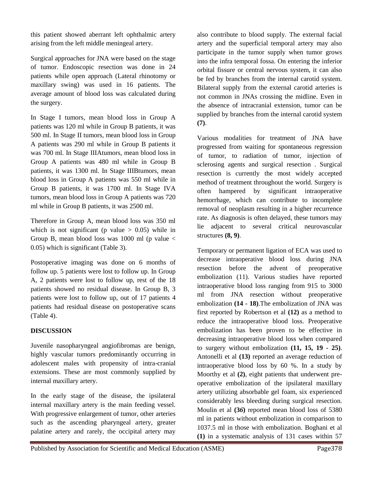this patient showed aberrant left ophthalmic artery arising from the left middle meningeal artery.

Surgical approaches for JNA were based on the stage of tumor. Endoscopic resection was done in 24 patients while open approach (Lateral rhinotomy or maxillary swing) was used in 16 patients. The average amount of blood loss was calculated during the surgery.

In Stage I tumors, mean blood loss in Group A patients was 120 ml while in Group B patients, it was 500 ml. In Stage II tumors, mean blood loss in Group A patients was 290 ml while in Group B patients it was 700 ml. In Stage IIIAtumors, mean blood loss in Group A patients was 480 ml while in Group B patients, it was 1300 ml. In Stage IIIBtumors, mean blood loss in Group A patients was 550 ml while in Group B patients, it was 1700 ml. In Stage IVA tumors, mean blood loss in Group A patients was 720 ml while in Group B patients, it was 2500 ml.

Therefore in Group A, mean blood loss was 350 ml which is not significant (p value  $> 0.05$ ) while in Group B, mean blood loss was 1000 ml (p value  $\lt$ 0.05) which is significant (Table 3).

Postoperative imaging was done on 6 months of follow up. 5 patients were lost to follow up. In Group A, 2 patients were lost to follow up, rest of the 18 patients showed no residual disease. In Group B, 3 patients were lost to follow up, out of 17 patients 4 patients had residual disease on postoperative scans (Table 4).

### **DISCUSSION**

Juvenile nasopharyngeal angiofibromas are benign, highly vascular tumors predominantly occurring in adolescent males with propensity of intra-cranial extensions. These are most commonly supplied by internal maxillary artery.

In the early stage of the disease, the ipsilateral internal maxillary artery is the main feeding vessel. With progressive enlargement of tumor, other arteries such as the ascending pharyngeal artery, greater palatine artery and rarely, the occipital artery may

also contribute to blood supply. The external facial artery and the superficial temporal artery may also participate in the tumor supply when tumor grows into the infra temporal fossa. On entering the inferior orbital fissure or central nervous system, it can also be fed by branches from the internal carotid system. Bilateral supply from the external carotid arteries is not common in JNAs crossing the midline. Even in the absence of intracranial extension, tumor can be supplied by branches from the internal carotid system **(7)**.

Various modalities for treatment of JNA have progressed from waiting for spontaneous regression of tumor, to radiation of tumor, injection of sclerosing agents and surgical resection . Surgical resection is currently the most widely accepted method of treatment throughout the world. Surgery is often hampered by significant intraoperative hemorrhage, which can contribute to incomplete removal of neoplasm resulting in a higher recurrence rate. As diagnosis is often delayed, these tumors may lie adjacent to several critical neurovascular structures **(8, 9)**.

Temporary or permanent ligation of ECA was used to decrease intraoperative blood loss during JNA resection before the advent of preoperative embolization (11). Various studies have reported intraoperative blood loss ranging from 915 to 3000 ml from JNA resection without preoperative embolization **(14 - 18)**.The embolization of JNA was first reported by Robertson et al **(12)** as a method to reduce the intraoperative blood loss. Preoperative embolization has been proven to be effective in decreasing intraoperative blood loss when compared to surgery without embolization **(11, 15, 19 - 25)**. Antonelli et al **(13)** reported an average reduction of intraoperative blood loss by 60 %. In a study by Moorthy et al **(2)**, eight patients that underwent preoperative embolization of the ipsilateral maxillary artery utilizing absorbable gel foam, six experienced considerably less bleeding during surgical resection. Moulin et al **(3***6***)** reported mean blood loss of 5380 ml in patients without embolization in comparison to 1037.5 ml in those with embolization. Boghani et al **(1)** in a systematic analysis of 131 cases within 57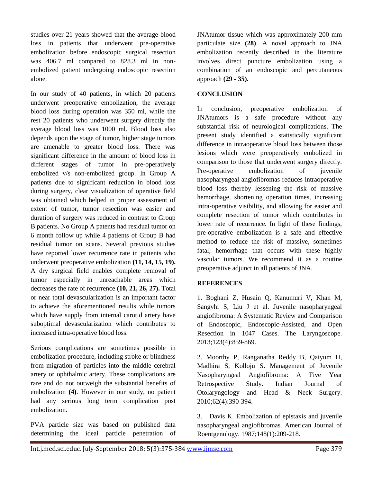studies over 21 years showed that the average blood loss in patients that underwent pre-operative embolization before endoscopic surgical resection was 406.7 ml compared to 828.3 ml in nonembolized patient undergoing endoscopic resection alone.

In our study of 40 patients, in which 20 patients underwent preoperative embolization, the average blood loss during operation was 350 ml, while the rest 20 patients who underwent surgery directly the average blood loss was 1000 ml. Blood loss also depends upon the stage of tumor, higher stage tumors are amenable to greater blood loss. There was significant difference in the amount of blood loss in different stages of tumor in pre-operatively embolized v/s non-embolized group. In Group A patients due to significant reduction in blood loss during surgery, clear visualization of operative field was obtained which helped in proper assessment of extent of tumor, tumor resection was easier and duration of surgery was reduced in contrast to Group B patients. No Group A patents had residual tumor on 6 month follow up while 4 patients of Group B had residual tumor on scans. Several previous studies have reported lower recurrence rate in patients who underwent preoperative embolization **(11, 14, 15, 19).** A dry surgical field enables complete removal of tumor especially in unreachable areas which decreases the rate of recurrence **(10, 21, 26, 27).** Total or near total devascularization is an important factor to achieve the aforementioned results while tumors which have supply from internal carotid artery have suboptimal devascularization which contributes to increased intra-operative blood loss.

Serious complications are sometimes possible in embolization procedure, including stroke or blindness from migration of particles into the middle cerebral artery or ophthalmic artery. These complications are rare and do not outweigh the substantial benefits of embolization **(4)**. However in our study, no patient had any serious long term complication post embolization.

PVA particle size was based on published data determining the ideal particle penetration of JNAtumor tissue which was approximately 200 mm particulate size **(28)**. A novel approach to JNA embolization recently described in the literature involves direct puncture embolization using a combination of an endoscopic and percutaneous approach **(29 - 35).**

#### **CONCLUSION**

In conclusion, preoperative embolization of JNAtumors is a safe procedure without any substantial risk of neurological complications. The present study identified a statistically significant difference in intraoperative blood loss between those lesions which were preoperatively embolized in comparison to those that underwent surgery directly. Pre-operative embolization of juvenile nasopharyngeal angiofibromas reduces intraoperative blood loss thereby lessening the risk of massive hemorrhage, shortening operation times, increasing intra-operative visibility, and allowing for easier and complete resection of tumor which contributes in lower rate of recurrence. In light of these findings, pre-operative embolization is a safe and effective method to reduce the risk of massive, sometimes fatal, hemorrhage that occurs with these highly vascular tumors. We recommend it as a routine preoperative adjunct in all patients of JNA.

### **REFERENCES**

1. Boghani Z, Husain Q, Kanumuri V, Khan M, Sangvhi S, Liu J et al. Juvenile nasopharyngeal angiofibroma: A Systematic Review and Comparison of Endoscopic, Endoscopic-Assisted, and Open Resection in 1047 Cases. The Laryngoscope. 2013;123(4):859-869.

2. Moorthy P, Ranganatha Reddy B, Qaiyum H, Madhira S, Kolloju S. Management of Juvenile Nasopharyngeal Angiofibroma: A Five Year Retrospective Study. Indian Journal of Otolaryngology and Head & Neck Surgery. 2010;62(4):390-394.

3. Davis K. Embolization of epistaxis and juvenile nasopharyngeal angiofibromas. American Journal of Roentgenology. 1987;148(1):209-218.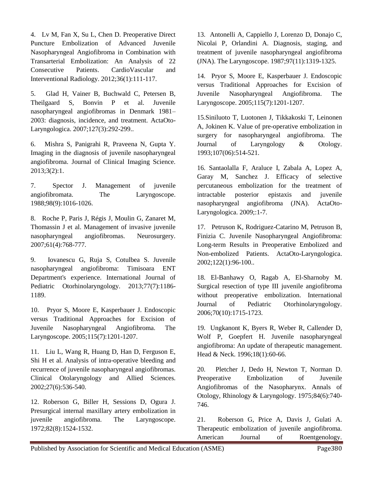4. Lv M, Fan X, Su L, Chen D. Preoperative Direct Puncture Embolization of Advanced Juvenile Nasopharyngeal Angiofibroma in Combination with Transarterial Embolization: An Analysis of 22 Consecutive Patients. CardioVascular and Interventional Radiology. 2012;36(1):111-117.

5. Glad H, Vainer B, Buchwald C, Petersen B, Theilgaard S, Bonvin P et al. Juvenile nasopharyngeal angiofibromas in Denmark 1981– 2003: diagnosis, incidence, and treatment. ActaOto-Laryngologica. 2007;127(3):292-299..

6. Mishra S, Panigrahi R, Praveena N, Gupta Y. Imaging in the diagnosis of juvenile nasopharyngeal angiofibroma. Journal of Clinical Imaging Science. 2013;3(2):1.

7. Spector J. Management of juvenile angiofibromata. The Laryngoscope. 1988;98(9):1016-1026.

8. Roche P, Paris J, Régis J, Moulin G, Zanaret M, Thomassin J et al. Management of invasive juvenile nasopharyngeal angiofibromas. Neurosurgery. 2007;61(4):768-777.

9. Iovanescu G, Ruja S, Cotulbea S. Juvenile nasopharyngeal angiofibroma: Timisoara ENT Department's experience. International Journal of Pediatric Otorhinolaryngology. 2013;77(7):1186- 1189.

10. Pryor S, Moore E, Kasperbauer J. Endoscopic versus Traditional Approaches for Excision of Juvenile Nasopharyngeal Angiofibroma. The Laryngoscope. 2005;115(7):1201-1207.

11. Liu L, Wang R, Huang D, Han D, Ferguson E, Shi H et al. Analysis of intra-operative bleeding and recurrence of juvenile nasopharyngeal angiofibromas. Clinical Otolaryngology and Allied Sciences. 2002;27(6):536-540.

12. Roberson G, Biller H, Sessions D, Ogura J. Presurgical internal maxillary artery embolization in juvenile angiofibroma. The Laryngoscope. 1972;82(8):1524-1532.

13. Antonelli A, Cappiello J, Lorenzo D, Donajo C, Nicolai P, Orlandini A. Diagnosis, staging, and treatment of juvenile nasopharyngeal angiofibroma (JNA). The Laryngoscope. 1987;97(11):1319-1325.

14. Pryor S, Moore E, Kasperbauer J. Endoscopic versus Traditional Approaches for Excision of Juvenile Nasopharyngeal Angiofibroma. The Laryngoscope. 2005;115(7):1201-1207.

15.Siniluoto T, Luotonen J, Tikkakoski T, Leinonen A, Jokinen K. Value of pre-operative embolization in surgery for nasopharyngeal angiofibroma. The Journal of Laryngology & Otology. 1993;107(06):514-521.

16. Santaolalla F, Araluce I, Zabala A, Lopez A, Garay M, Sanchez J. Efficacy of selective percutaneous embolization for the treatment of intractable posterior epistaxis and juvenile nasopharyngeal angiofibroma (JNA). ActaOto-Laryngologica. 2009;:1-7.

17. Petruson K, Rodriguez-Catarino M, Petruson B, Finizia C. Juvenile Nasopharyngeal Angiofibroma: Long-term Results in Preoperative Embolized and Non-embolized Patients. ActaOto-Laryngologica. 2002;122(1):96-100..

18. El-Banhawy O, Ragab A, El-Sharnoby M. Surgical resection of type III juvenile angiofibroma without preoperative embolization. International Journal of Pediatric Otorhinolaryngology. 2006;70(10):1715-1723.

19. Ungkanont K, Byers R, Weber R, Callender D, Wolf P, Goepfert H. Juvenile nasopharyngeal angiofibroma: An update of therapeutic management. Head & Neck. 1996;18(1):60-66.

20. Pletcher J, Dedo H, Newton T, Norman D. Preoperative Embolization of Juvenile Angiofibromas of the Nasopharynx. Annals of Otology, Rhinology & Laryngology. 1975;84(6):740- 746.

21. Roberson G, Price A, Davis J, Gulati A. Therapeutic embolization of juvenile angiofibroma. American Journal of Roentgenology.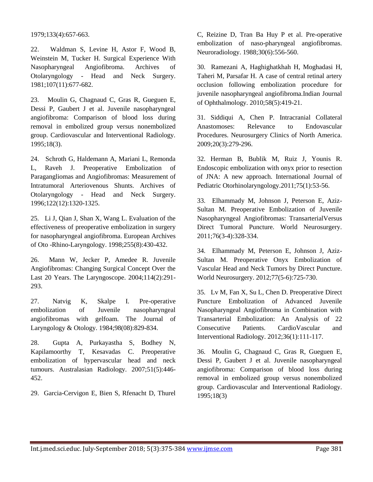1979;133(4):657-663.

22. Waldman S, Levine H, Astor F, Wood B, Weinstein M, Tucker H. Surgical Experience With Nasopharyngeal Angiofibroma. Archives of Otolaryngology - Head and Neck Surgery. 1981;107(11):677-682.

23. Moulin G, Chagnaud C, Gras R, Gueguen E, Dessi P, Gaubert J et al. Juvenile nasopharyngeal angiofibroma: Comparison of blood loss during removal in embolized group versus nonembolized group. Cardiovascular and Interventional Radiology. 1995;18(3).

24. Schroth G, Haldemann A, Mariani L, Remonda L, Raveh J. Preoperative Embolization of Paragangliomas and Angiofibromas: Measurement of Intratumoral Arteriovenous Shunts. Archives of Otolaryngology - Head and Neck Surgery. 1996;122(12):1320-1325.

25. Li J, Qian J, Shan X, Wang L. Evaluation of the effectiveness of preoperative embolization in surgery for nasopharyngeal angiofibroma. European Archives of Oto -Rhino-Laryngology. 1998;255(8):430-432.

26. Mann W, Jecker P, Amedee R. Juvenile Angiofibromas: Changing Surgical Concept Over the Last 20 Years. The Laryngoscope. 2004;114(2):291- 293.

27. Natvig K, Skalpe I. Pre-operative embolization of Juvenile nasopharyngeal angiofibromas with gelfoam. The Journal of Laryngology & Otology. 1984;98(08):829-834.

28. Gupta A, Purkayastha S, Bodhey N, Kapilamoorthy T, Kesavadas C. Preoperative embolization of hypervascular head and neck tumours. Australasian Radiology. 2007;51(5):446- 452.

29. Garcia-Cervigon E, Bien S, Rfenacht D, Thurel

C, Reizine D, Tran Ba Huy P et al. Pre-operative embolization of naso-pharyngeal angiofibromas. Neuroradiology. 1988;30(6):556-560.

30. Ramezani A, Haghighatkhah H, Moghadasi H, Taheri M, Parsafar H. A case of central retinal artery occlusion following embolization procedure for juvenile nasopharyngeal angiofibroma.Indian Journal of Ophthalmology. 2010;58(5):419-21.

31. Siddiqui A, Chen P. Intracranial Collateral Anastomoses: Relevance to Endovascular Procedures. Neurosurgery Clinics of North America. 2009;20(3):279-296.

32. Herman B, Bublik M, Ruiz J, Younis R. Endoscopic embolization with onyx prior to resection of JNA: A new approach. International Journal of Pediatric Otorhinolaryngology.2011;75(1):53-56.

33. Elhammady M, Johnson J, Peterson E, Aziz-Sultan M. Preoperative Embolization of Juvenile Nasopharyngeal Angiofibromas: TransarterialVersus Direct Tumoral Puncture. World Neurosurgery. 2011;76(3-4):328-334.

34. Elhammady M, Peterson E, Johnson J, Aziz-Sultan M. Preoperative Onyx Embolization of Vascular Head and Neck Tumors by Direct Puncture. World Neurosurgery. 2012;77(5-6):725-730.

35. Lv M, Fan X, Su L, Chen D. Preoperative Direct Puncture Embolization of Advanced Juvenile Nasopharyngeal Angiofibroma in Combination with Transarterial Embolization: An Analysis of 22 Consecutive Patients. CardioVascular and Interventional Radiology. 2012;36(1):111-117.

36. Moulin G, Chagnaud C, Gras R, Gueguen E, Dessi P, Gaubert J et al. Juvenile nasopharyngeal angiofibroma: Comparison of blood loss during removal in embolized group versus nonembolized group. Cardiovascular and Interventional Radiology. 1995;18(3)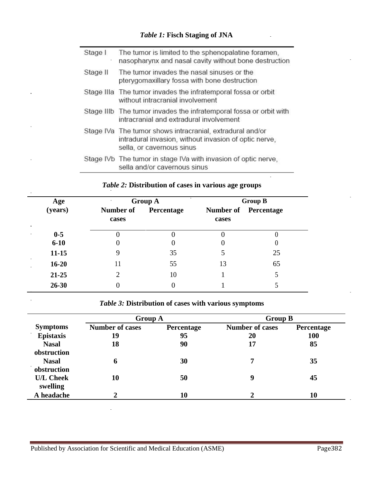# *Table 1:* **Fisch Staging of JNA**

| Stage I  | The tumor is limited to the sphenopalatine foramen,<br>nasopharynx and nasal cavity without bone destruction                                    |
|----------|-------------------------------------------------------------------------------------------------------------------------------------------------|
| Stage II | The tumor invades the nasal sinuses or the<br>pterygomaxillary fossa with bone destruction                                                      |
|          | Stage IIIa The tumor invades the infratemporal fossa or orbit<br>without intracranial involvement                                               |
|          | Stage IIIb The tumor invades the infratemporal fossa or orbit with<br>intracranial and extradural involvement                                   |
|          | Stage IVa The tumor shows intracranial, extradural and/or<br>intradural invasion, without invasion of optic nerve,<br>sella, or cavernous sinus |
|          | Stage IVb The tumor in stage IVa with invasion of optic nerve,<br>sella and/or cavernous sinus                                                  |

|                                | Age               | <b>Group A</b>            |            | <b>Group B</b>     |            |
|--------------------------------|-------------------|---------------------------|------------|--------------------|------------|
|                                | (years)           | <b>Number of</b><br>cases | Percentage | Number of<br>cases | Percentage |
| $\blacksquare$                 | $0-5$<br>$6 - 10$ |                           |            | U                  | U          |
|                                | $11 - 15$         |                           | 35         |                    | 25         |
| $\mathbf{r}$<br>$\blacksquare$ | $16 - 20$         | 11                        | 55         | 13                 | 65         |
|                                | $21 - 25$         | 2                         | 10         |                    |            |
|                                | $26 - 30$         |                           |            |                    |            |

# *Table 2:* **Distribution of cases in various age groups**

÷.

*Table 3:* **Distribution of cases with various symptoms**

|                  | <b>Group A</b>         |            | <b>Group B</b>         |            |
|------------------|------------------------|------------|------------------------|------------|
| <b>Symptoms</b>  | <b>Number of cases</b> | Percentage | <b>Number of cases</b> | Percentage |
| <b>Epistaxis</b> | 19                     | 95         | 20                     | <b>100</b> |
| <b>Nasal</b>     | 18                     | 90         | 17                     | 85         |
| obstruction      |                        |            |                        |            |
| <b>Nasal</b>     | 6                      | 30         | ┓                      | 35         |
| obstruction      |                        |            |                        |            |
| <b>U/L Cheek</b> | 10                     | 50         | 9                      | 45         |
| swelling         |                        |            |                        |            |
| A headache       | າ                      | 10         |                        | 10         |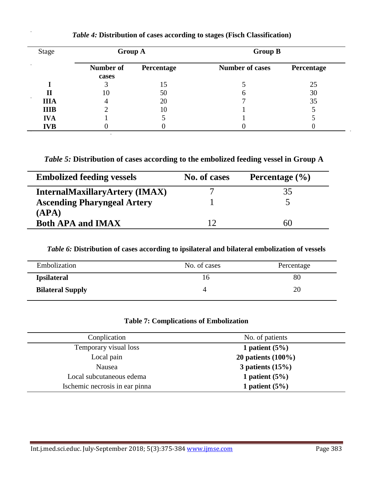| <b>Stage</b> | <b>Group A</b>     |            | <b>Group B</b>         |            |
|--------------|--------------------|------------|------------------------|------------|
|              | Number of<br>cases | Percentage | <b>Number of cases</b> | Percentage |
|              |                    | 15         |                        | 25         |
| П            | 10                 | 50         | n                      | 30         |
| <b>IIIA</b>  | 4                  | 20         |                        | 35         |
| <b>IIIB</b>  |                    | 10         |                        |            |
| <b>IVA</b>   |                    |            |                        |            |
| <b>IVB</b>   |                    |            |                        |            |

# *Table 4:* **Distribution of cases according to stages (Fisch Classification)**

*Table 5:* **Distribution of cases according to the embolized feeding vessel in Group A** 

| <b>Embolized feeding vessels</b>      | No. of cases | Percentage $(\frac{6}{6})$ |
|---------------------------------------|--------------|----------------------------|
| <b>InternalMaxillaryArtery (IMAX)</b> |              | 35                         |
| <b>Ascending Pharyngeal Artery</b>    |              |                            |
| (APA)                                 |              |                            |
| <b>Both APA and IMAX</b>              |              | 60                         |

*Table 6:* **Distribution of cases according to ipsilateral and bilateral embolization of vessels**

| Embolization            | No. of cases | Percentage |
|-------------------------|--------------|------------|
| <b>Ipsilateral</b>      |              | 80         |
| <b>Bilateral Supply</b> | 4            | 20         |

## **Table 7: Complications of Embolization**

| Conplication                   | No. of patients       |
|--------------------------------|-----------------------|
| Temporary visual loss          | 1 patient $(5%)$      |
| Local pain                     | 20 patients $(100\%)$ |
| Nausea                         | 3 patients $(15%)$    |
| Local subcutaneous edema       | 1 patient $(5%)$      |
| Ischemic necrosis in ear pinna | 1 patient $(5%)$      |